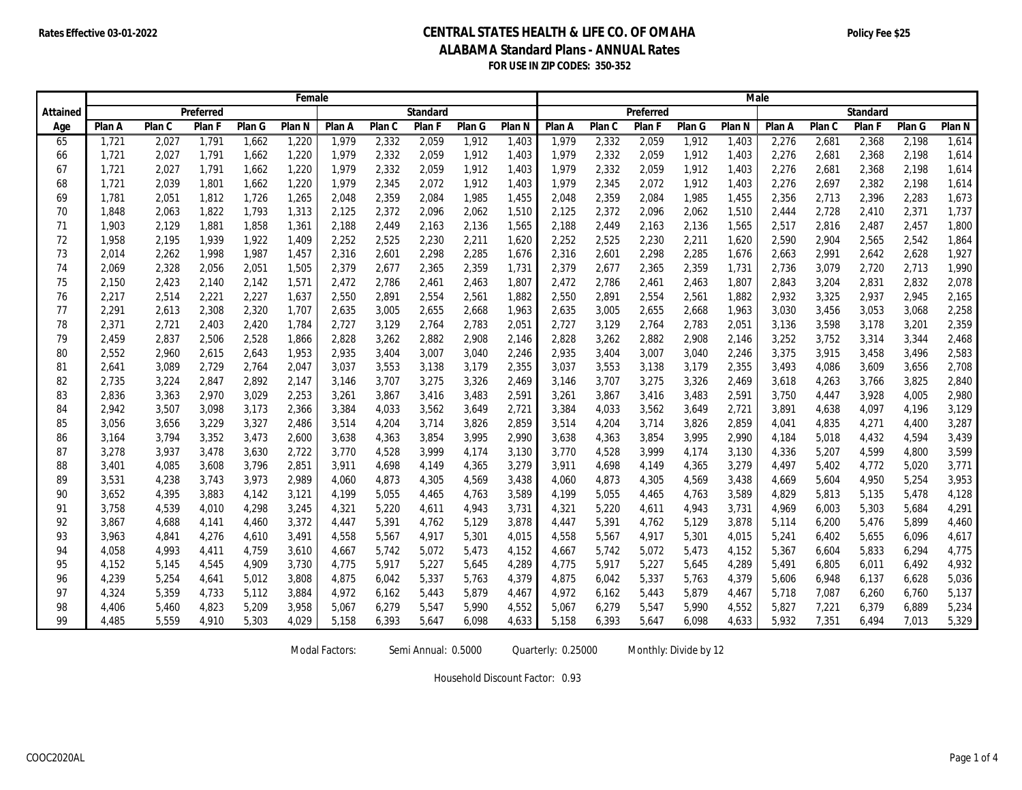## **Rates Effective 03-01-2022 Policy Fee \$25 CENTRAL STATES HEALTH & LIFE CO. OF OMAHA ALABAMA Standard Plans - ANNUAL Rates FOR USE IN ZIP CODES: 350-352**

|          | Female                       |        |        |        |        |        |        |        |        |        | Male                         |        |        |        |        |        |        |        |        |                   |  |
|----------|------------------------------|--------|--------|--------|--------|--------|--------|--------|--------|--------|------------------------------|--------|--------|--------|--------|--------|--------|--------|--------|-------------------|--|
| Attained | Preferred<br><b>Standard</b> |        |        |        |        |        |        |        |        |        | Preferred<br><b>Standard</b> |        |        |        |        |        |        |        |        |                   |  |
| Age      | Plan A                       | Plan C | Plan F | Plan G | Plan N | Plan A | Plan C | Plan F | Plan G | Plan N | Plan A                       | Plan C | Plan F | Plan G | Plan N | Plan A | Plan C | Plan F | Plan G | Plan <sub>N</sub> |  |
| 65       | 1,721                        | 2,027  | 1,791  | 1,662  | 1,220  | 1,979  | 2,332  | 2,059  | 1,912  | 1,403  | 1,979                        | 2,332  | 2,059  | 1,912  | 1,403  | 2,276  | 2,681  | 2,368  | 2,198  | 1,614             |  |
| 66       | 1,721                        | 2,027  | 1,791  | 1,662  | 1,220  | 1,979  | 2,332  | 2,059  | 1,912  | 1,403  | 1,979                        | 2,332  | 2,059  | 1,912  | 1,403  | 2,276  | 2,681  | 2,368  | 2,198  | 1,614             |  |
| 67       | 1,721                        | 2,027  | 1,791  | 1,662  | 1,220  | 1,979  | 2,332  | 2,059  | 1,912  | 1,403  | 1,979                        | 2,332  | 2,059  | 1,912  | 1,403  | 2,276  | 2,681  | 2,368  | 2,198  | 1,614             |  |
| 68       | 1,721                        | 2,039  | 1,801  | 1,662  | 1,220  | 1,979  | 2,345  | 2,072  | 1,912  | 1,403  | 1,979                        | 2,345  | 2,072  | 1,912  | 1,403  | 2,276  | 2,697  | 2,382  | 2,198  | 1,614             |  |
| 69       | 1,781                        | 2,051  | 1,812  | 1,726  | 1,265  | 2,048  | 2,359  | 2,084  | 1,985  | 1,455  | 2,048                        | 2,359  | 2,084  | 1,985  | 1,455  | 2,356  | 2,713  | 2,396  | 2,283  | 1,673             |  |
| 70       | 1,848                        | 2,063  | 1,822  | 1,793  | 1,313  | 2,125  | 2,372  | 2,096  | 2,062  | 1,510  | 2,125                        | 2,372  | 2,096  | 2,062  | 1,510  | 2,444  | 2,728  | 2,410  | 2,371  | 1,737             |  |
| 71       | 1,903                        | 2,129  | 1,881  | 1,858  | 1,361  | 2,188  | 2,449  | 2,163  | 2,136  | 1,565  | 2,188                        | 2,449  | 2,163  | 2,136  | 1,565  | 2,517  | 2,816  | 2,487  | 2,457  | 1,800             |  |
| 72       | 1,958                        | 2,195  | 1,939  | 1,922  | 1,409  | 2,252  | 2,525  | 2,230  | 2,211  | 1,620  | 2,252                        | 2,525  | 2,230  | 2,211  | 1,620  | 2,590  | 2,904  | 2,565  | 2,542  | 1,864             |  |
| 73       | 2,014                        | 2,262  | 1,998  | 1,987  | 1,457  | 2,316  | 2,601  | 2,298  | 2,285  | 1,676  | 2,316                        | 2,601  | 2,298  | 2,285  | 1,676  | 2,663  | 2,991  | 2,642  | 2,628  | 1,927             |  |
| 74       | 2,069                        | 2,328  | 2,056  | 2,051  | 1,505  | 2,379  | 2,677  | 2,365  | 2,359  | 1,731  | 2,379                        | 2,677  | 2,365  | 2,359  | 1,731  | 2,736  | 3,079  | 2,720  | 2,713  | 1,990             |  |
| 75       | 2,150                        | 2,423  | 2,140  | 2,142  | 1,571  | 2,472  | 2,786  | 2,461  | 2,463  | 1,807  | 2,472                        | 2,786  | 2,461  | 2,463  | 1,807  | 2,843  | 3,204  | 2,831  | 2,832  | 2,078             |  |
| 76       | 2,217                        | 2,514  | 2,221  | 2,227  | 1,637  | 2,550  | 2,891  | 2,554  | 2,561  | 1,882  | 2,550                        | 2,891  | 2,554  | 2,561  | 1,882  | 2,932  | 3,325  | 2,937  | 2,945  | 2,165             |  |
| 77       | 2,291                        | 2,613  | 2,308  | 2,320  | 1,707  | 2,635  | 3,005  | 2,655  | 2,668  | 1,963  | 2,635                        | 3,005  | 2,655  | 2,668  | 1,963  | 3,030  | 3,456  | 3,053  | 3,068  | 2,258             |  |
| 78       | 2,371                        | 2,721  | 2,403  | 2,420  | 1,784  | 2,727  | 3,129  | 2,764  | 2,783  | 2,051  | 2,727                        | 3,129  | 2,764  | 2,783  | 2,051  | 3,136  | 3,598  | 3,178  | 3,201  | 2,359             |  |
| 79       | 2,459                        | 2,837  | 2,506  | 2,528  | 1,866  | 2,828  | 3,262  | 2,882  | 2,908  | 2,146  | 2,828                        | 3,262  | 2,882  | 2,908  | 2,146  | 3,252  | 3,752  | 3,314  | 3,344  | 2,468             |  |
| 80       | 2,552                        | 2,960  | 2,615  | 2,643  | 1,953  | 2,935  | 3,404  | 3,007  | 3,040  | 2,246  | 2,935                        | 3,404  | 3,007  | 3,040  | 2,246  | 3,375  | 3,915  | 3,458  | 3,496  | 2,583             |  |
| 81       | 2,641                        | 3,089  | 2,729  | 2,764  | 2,047  | 3,037  | 3,553  | 3,138  | 3,179  | 2,355  | 3,037                        | 3,553  | 3,138  | 3,179  | 2,355  | 3,493  | 4,086  | 3,609  | 3,656  | 2,708             |  |
| 82       | 2,735                        | 3,224  | 2,847  | 2,892  | 2,147  | 3,146  | 3,707  | 3,275  | 3,326  | 2,469  | 3,146                        | 3,707  | 3,275  | 3,326  | 2,469  | 3,618  | 4,263  | 3,766  | 3,825  | 2,840             |  |
| 83       | 2,836                        | 3,363  | 2,970  | 3,029  | 2,253  | 3,261  | 3,867  | 3,416  | 3,483  | 2,591  | 3,261                        | 3,867  | 3,416  | 3,483  | 2,591  | 3,750  | 4,447  | 3,928  | 4,005  | 2,980             |  |
| 84       | 2,942                        | 3,507  | 3,098  | 3,173  | 2,366  | 3,384  | 4,033  | 3,562  | 3,649  | 2,721  | 3,384                        | 4,033  | 3,562  | 3,649  | 2,721  | 3,891  | 4,638  | 4,097  | 4,196  | 3,129             |  |
| 85       | 3,056                        | 3,656  | 3,229  | 3,327  | 2,486  | 3,514  | 4,204  | 3,714  | 3,826  | 2,859  | 3,514                        | 4,204  | 3,714  | 3,826  | 2,859  | 4,041  | 4,835  | 4,271  | 4,400  | 3,287             |  |
| 86       | 3,164                        | 3,794  | 3,352  | 3,473  | 2,600  | 3,638  | 4,363  | 3,854  | 3,995  | 2,990  | 3,638                        | 4,363  | 3,854  | 3,995  | 2,990  | 4,184  | 5,018  | 4,432  | 4,594  | 3,439             |  |
| 87       | 3,278                        | 3,937  | 3,478  | 3,630  | 2,722  | 3,770  | 4,528  | 3,999  | 4,174  | 3,130  | 3,770                        | 4,528  | 3,999  | 4,174  | 3,130  | 4,336  | 5,207  | 4,599  | 4,800  | 3,599             |  |
| 88       | 3,401                        | 4,085  | 3,608  | 3,796  | 2,851  | 3,911  | 4,698  | 4,149  | 4,365  | 3,279  | 3,911                        | 4,698  | 4,149  | 4,365  | 3,279  | 4,497  | 5,402  | 4,772  | 5,020  | 3,771             |  |
| 89       | 3,531                        | 4,238  | 3,743  | 3,973  | 2,989  | 4,060  | 4,873  | 4,305  | 4,569  | 3,438  | 4,060                        | 4,873  | 4,305  | 4,569  | 3,438  | 4,669  | 5,604  | 4,950  | 5,254  | 3,953             |  |
| 90       | 3,652                        | 4,395  | 3,883  | 4,142  | 3,121  | 4,199  | 5,055  | 4,465  | 4,763  | 3,589  | 4,199                        | 5,055  | 4,465  | 4,763  | 3,589  | 4,829  | 5,813  | 5,135  | 5,478  | 4,128             |  |
| 91       | 3,758                        | 4,539  | 4,010  | 4,298  | 3,245  | 4,321  | 5,220  | 4,611  | 4,943  | 3,731  | 4,321                        | 5,220  | 4,611  | 4,943  | 3,731  | 4,969  | 6,003  | 5,303  | 5,684  | 4,291             |  |
| 92       | 3,867                        | 4,688  | 4,141  | 4,460  | 3,372  | 4,447  | 5,391  | 4,762  | 5,129  | 3,878  | 4,447                        | 5,391  | 4,762  | 5,129  | 3,878  | 5,114  | 6,200  | 5,476  | 5,899  | 4,460             |  |
| 93       | 3,963                        | 4,841  | 4,276  | 4,610  | 3,491  | 4,558  | 5,567  | 4,917  | 5,301  | 4,015  | 4,558                        | 5,567  | 4,917  | 5,301  | 4,015  | 5,241  | 6,402  | 5,655  | 6,096  | 4,617             |  |
| 94       | 4,058                        | 4,993  | 4,411  | 4,759  | 3,610  | 4,667  | 5,742  | 5,072  | 5,473  | 4,152  | 4,667                        | 5,742  | 5,072  | 5,473  | 4,152  | 5,367  | 6,604  | 5,833  | 6,294  | 4,775             |  |
| 95       | 4,152                        | 5,145  | 4,545  | 4,909  | 3,730  | 4,775  | 5,917  | 5,227  | 5,645  | 4,289  | 4,775                        | 5,917  | 5,227  | 5,645  | 4,289  | 5,491  | 6,805  | 6,011  | 6,492  | 4,932             |  |
| 96       | 4,239                        | 5,254  | 4,641  | 5,012  | 3,808  | 4,875  | 6,042  | 5,337  | 5,763  | 4,379  | 4,875                        | 6,042  | 5,337  | 5,763  | 4,379  | 5,606  | 6,948  | 6,137  | 6,628  | 5,036             |  |
| 97       | 4,324                        | 5,359  | 4,733  | 5,112  | 3,884  | 4,972  | 6,162  | 5,443  | 5,879  | 4,467  | 4,972                        | 6,162  | 5,443  | 5,879  | 4,467  | 5,718  | 7,087  | 6,260  | 6,760  | 5,137             |  |
| 98       | 4,406                        | 5,460  | 4,823  | 5,209  | 3,958  | 5,067  | 6,279  | 5,547  | 5,990  | 4,552  | 5,067                        | 6,279  | 5,547  | 5,990  | 4,552  | 5,827  | 7,221  | 6,379  | 6,889  | 5,234             |  |
| 99       | 4.485                        | 5,559  | 4.910  | 5,303  | 4,029  | 5.158  | 6,393  | 5,647  | 6,098  | 4,633  | 5.158                        | 6,393  | 5,647  | 6,098  | 4,633  | 5,932  | 7,351  | 6.494  | 7.013  | 5,329             |  |

Modal Factors: Semi Annual: 0.5000 Quarterly: 0.25000 Monthly: Divide by 12

Household Discount Factor: 0.93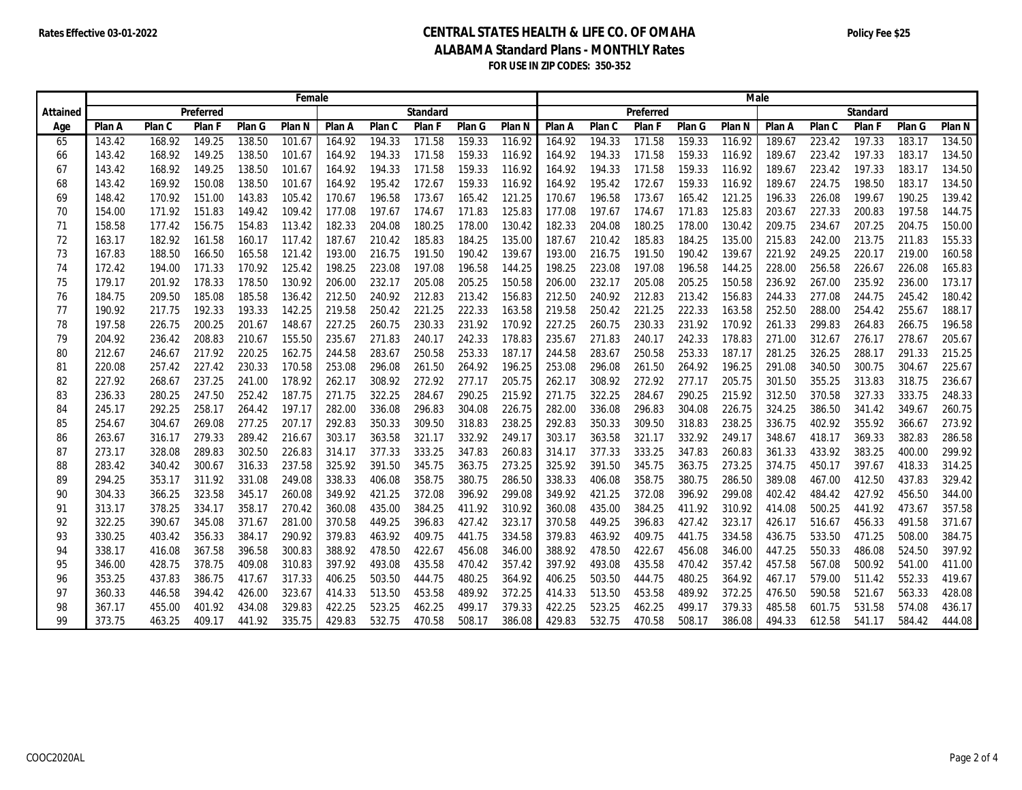## **Rates Effective 03-01-2022 Policy Fee \$25 CENTRAL STATES HEALTH & LIFE CO. OF OMAHA ALABAMA Standard Plans - MONTHLY Rates FOR USE IN ZIP CODES: 350-352**

|          | Female |        |           |        |        |        |        |                 |        |        |                              | <b>Male</b> |        |        |        |        |        |        |        |        |  |
|----------|--------|--------|-----------|--------|--------|--------|--------|-----------------|--------|--------|------------------------------|-------------|--------|--------|--------|--------|--------|--------|--------|--------|--|
| Attained |        |        | Preferred |        |        |        |        | <b>Standard</b> |        |        | <b>Standard</b><br>Preferred |             |        |        |        |        |        |        |        |        |  |
| Age      | Plan A | Plan C | Plan F    | Plan G | Plan N | Plan A | Plan C | Plan F          | Plan G | Plan N | Plan A                       | Plan C      | Plan F | Plan G | Plan N | Plan A | Plan C | Plan F | Plan G | Plan N |  |
| 65       | 143.42 | 168.92 | 149.25    | 138.50 | 101.67 | 164.92 | 194.33 | 171.58          | 159.33 | 116.92 | 164.92                       | 194.33      | 171.58 | 159.33 | 116.92 | 189.67 | 223.42 | 197.33 | 183.17 | 134.50 |  |
| 66       | 143.42 | 168.92 | 149.25    | 138.50 | 101.67 | 164.92 | 194.33 | 171.58          | 159.33 | 116.92 | 164.92                       | 194.33      | 171.58 | 159.33 | 116.92 | 189.67 | 223.42 | 197.33 | 183.17 | 134.50 |  |
| 67       | 143.42 | 168.92 | 149.25    | 138.50 | 101.67 | 164.92 | 194.33 | 171.58          | 159.33 | 116.92 | 164.92                       | 194.33      | 171.58 | 159.33 | 116.92 | 189.67 | 223.42 | 197.33 | 183.17 | 134.50 |  |
| 68       | 143.42 | 169.92 | 150.08    | 138.50 | 101.67 | 164.92 | 195.42 | 172.67          | 159.33 | 116.92 | 164.92                       | 195.42      | 172.67 | 159.33 | 116.92 | 189.67 | 224.75 | 198.50 | 183.17 | 134.50 |  |
| 69       | 148.42 | 170.92 | 151.00    | 143.83 | 105.42 | 170.67 | 196.58 | 173.67          | 165.42 | 121.25 | 170.67                       | 196.58      | 173.67 | 165.42 | 121.25 | 196.33 | 226.08 | 199.67 | 190.25 | 139.42 |  |
| 70       | 154.00 | 171.92 | 151.83    | 149.42 | 109.42 | 177.08 | 197.67 | 174.67          | 171.83 | 125.83 | 177.08                       | 197.67      | 174.67 | 171.83 | 125.83 | 203.67 | 227.33 | 200.83 | 197.58 | 144.75 |  |
| 71       | 158.58 | 177.42 | 156.75    | 154.83 | 113.42 | 182.33 | 204.08 | 180.25          | 178.00 | 130.42 | 182.33                       | 204.08      | 180.25 | 178.00 | 130.42 | 209.75 | 234.67 | 207.25 | 204.75 | 150.00 |  |
| 72       | 163.17 | 182.92 | 161.58    | 160.17 | 117.42 | 187.67 | 210.42 | 185.83          | 184.25 | 135.00 | 187.67                       | 210.42      | 185.83 | 184.25 | 135.00 | 215.83 | 242.00 | 213.75 | 211.83 | 155.33 |  |
| 73       | 167.83 | 188.50 | 166.50    | 165.58 | 121.42 | 193.00 | 216.75 | 191.50          | 190.42 | 139.67 | 193.00                       | 216.75      | 191.50 | 190.42 | 139.67 | 221.92 | 249.25 | 220.17 | 219.00 | 160.58 |  |
| 74       | 172.42 | 194.00 | 171.33    | 170.92 | 125.42 | 198.25 | 223.08 | 197.08          | 196.58 | 144.25 | 198.25                       | 223.08      | 197.08 | 196.58 | 144.25 | 228.00 | 256.58 | 226.67 | 226.08 | 165.83 |  |
| 75       | 179.17 | 201.92 | 178.33    | 178.50 | 130.92 | 206.00 | 232.17 | 205.08          | 205.25 | 150.58 | 206.00                       | 232.17      | 205.08 | 205.25 | 150.58 | 236.92 | 267.00 | 235.92 | 236.00 | 173.17 |  |
| 76       | 184.75 | 209.50 | 185.08    | 185.58 | 136.42 | 212.50 | 240.92 | 212.83          | 213.42 | 156.83 | 212.50                       | 240.92      | 212.83 | 213.42 | 156.83 | 244.33 | 277.08 | 244.75 | 245.42 | 180.42 |  |
| 77       | 190.92 | 217.75 | 192.33    | 193.33 | 142.25 | 219.58 | 250.42 | 221.25          | 222.33 | 163.58 | 219.58                       | 250.42      | 221.25 | 222.33 | 163.58 | 252.50 | 288.00 | 254.42 | 255.67 | 188.17 |  |
| 78       | 197.58 | 226.75 | 200.25    | 201.67 | 148.67 | 227.25 | 260.75 | 230.33          | 231.92 | 170.92 | 227.25                       | 260.75      | 230.33 | 231.92 | 170.92 | 261.33 | 299.83 | 264.83 | 266.75 | 196.58 |  |
| 79       | 204.92 | 236.42 | 208.83    | 210.67 | 155.50 | 235.67 | 271.83 | 240.17          | 242.33 | 178.83 | 235.67                       | 271.83      | 240.17 | 242.33 | 178.83 | 271.00 | 312.67 | 276.17 | 278.67 | 205.67 |  |
| 80       | 212.67 | 246.67 | 217.92    | 220.25 | 162.75 | 244.58 | 283.67 | 250.58          | 253.33 | 187.17 | 244.58                       | 283.67      | 250.58 | 253.33 | 187.17 | 281.25 | 326.25 | 288.17 | 291.33 | 215.25 |  |
| 81       | 220.08 | 257.42 | 227.42    | 230.33 | 170.58 | 253.08 | 296.08 | 261.50          | 264.92 | 196.25 | 253.08                       | 296.08      | 261.50 | 264.92 | 196.25 | 291.08 | 340.50 | 300.75 | 304.67 | 225.67 |  |
| 82       | 227.92 | 268.67 | 237.25    | 241.00 | 178.92 | 262.17 | 308.92 | 272.92          | 277.17 | 205.75 | 262.17                       | 308.92      | 272.92 | 277.17 | 205.75 | 301.50 | 355.25 | 313.83 | 318.75 | 236.67 |  |
| 83       | 236.33 | 280.25 | 247.50    | 252.42 | 187.75 | 271.75 | 322.25 | 284.67          | 290.25 | 215.92 | 271.75                       | 322.25      | 284.67 | 290.25 | 215.92 | 312.50 | 370.58 | 327.33 | 333.75 | 248.33 |  |
| 84       | 245.17 | 292.25 | 258.17    | 264.42 | 197.17 | 282.00 | 336.08 | 296.83          | 304.08 | 226.75 | 282.00                       | 336.08      | 296.83 | 304.08 | 226.75 | 324.25 | 386.50 | 341.42 | 349.67 | 260.75 |  |
| 85       | 254.67 | 304.67 | 269.08    | 277.25 | 207.17 | 292.83 | 350.33 | 309.50          | 318.83 | 238.25 | 292.83                       | 350.33      | 309.50 | 318.83 | 238.25 | 336.75 | 402.92 | 355.92 | 366.67 | 273.92 |  |
| 86       | 263.67 | 316.17 | 279.33    | 289.42 | 216.67 | 303.17 | 363.58 | 321.17          | 332.92 | 249.17 | 303.17                       | 363.58      | 321.17 | 332.92 | 249.17 | 348.67 | 418.17 | 369.33 | 382.83 | 286.58 |  |
| 87       | 273.17 | 328.08 | 289.83    | 302.50 | 226.83 | 314.17 | 377.33 | 333.25          | 347.83 | 260.83 | 314.17                       | 377.33      | 333.25 | 347.83 | 260.83 | 361.33 | 433.92 | 383.25 | 400.00 | 299.92 |  |
| 88       | 283.42 | 340.42 | 300.67    | 316.33 | 237.58 | 325.92 | 391.50 | 345.75          | 363.75 | 273.25 | 325.92                       | 391.50      | 345.75 | 363.75 | 273.25 | 374.75 | 450.17 | 397.67 | 418.33 | 314.25 |  |
| 89       | 294.25 | 353.17 | 311.92    | 331.08 | 249.08 | 338.33 | 406.08 | 358.75          | 380.75 | 286.50 | 338.33                       | 406.08      | 358.75 | 380.75 | 286.50 | 389.08 | 467.00 | 412.50 | 437.83 | 329.42 |  |
| 90       | 304.33 | 366.25 | 323.58    | 345.17 | 260.08 | 349.92 | 421.25 | 372.08          | 396.92 | 299.08 | 349.92                       | 421.25      | 372.08 | 396.92 | 299.08 | 402.42 | 484.42 | 427.92 | 456.50 | 344.00 |  |
| 91       | 313.17 | 378.25 | 334.17    | 358.17 | 270.42 | 360.08 | 435.00 | 384.25          | 411.92 | 310.92 | 360.08                       | 435.00      | 384.25 | 411.92 | 310.92 | 414.08 | 500.25 | 441.92 | 473.67 | 357.58 |  |
| 92       | 322.25 | 390.67 | 345.08    | 371.67 | 281.00 | 370.58 | 449.25 | 396.83          | 427.42 | 323.17 | 370.58                       | 449.25      | 396.83 | 427.42 | 323.17 | 426.17 | 516.67 | 456.33 | 491.58 | 371.67 |  |
| 93       | 330.25 | 403.42 | 356.33    | 384.17 | 290.92 | 379.83 | 463.92 | 409.75          | 441.75 | 334.58 | 379.83                       | 463.92      | 409.75 | 441.75 | 334.58 | 436.75 | 533.50 | 471.25 | 508.00 | 384.75 |  |
| 94       | 338.17 | 416.08 | 367.58    | 396.58 | 300.83 | 388.92 | 478.50 | 422.67          | 456.08 | 346.00 | 388.92                       | 478.50      | 422.67 | 456.08 | 346.00 | 447.25 | 550.33 | 486.08 | 524.50 | 397.92 |  |
| 95       | 346.00 | 428.75 | 378.75    | 409.08 | 310.83 | 397.92 | 493.08 | 435.58          | 470.42 | 357.42 | 397.92                       | 493.08      | 435.58 | 470.42 | 357.42 | 457.58 | 567.08 | 500.92 | 541.00 | 411.00 |  |
| 96       | 353.25 | 437.83 | 386.75    | 417.67 | 317.33 | 406.25 | 503.50 | 444.75          | 480.25 | 364.92 | 406.25                       | 503.50      | 444.75 | 480.25 | 364.92 | 467.17 | 579.00 | 511.42 | 552.33 | 419.67 |  |
| 97       | 360.33 | 446.58 | 394.42    | 426.00 | 323.67 | 414.33 | 513.50 | 453.58          | 489.92 | 372.25 | 414.33                       | 513.50      | 453.58 | 489.92 | 372.25 | 476.50 | 590.58 | 521.67 | 563.33 | 428.08 |  |
| 98       | 367.17 | 455.00 | 401.92    | 434.08 | 329.83 | 422.25 | 523.25 | 462.25          | 499.17 | 379.33 | 422.25                       | 523.25      | 462.25 | 499.17 | 379.33 | 485.58 | 601.75 | 531.58 | 574.08 | 436.17 |  |
| 99       | 373.75 | 463.25 | 409.17    | 441.92 | 335.75 | 429.83 | 532.75 | 470.58          | 508.17 | 386.08 | 429.83                       | 532.75      | 470.58 | 508.17 | 386.08 | 494.33 | 612.58 | 541.17 | 584.42 | 444.08 |  |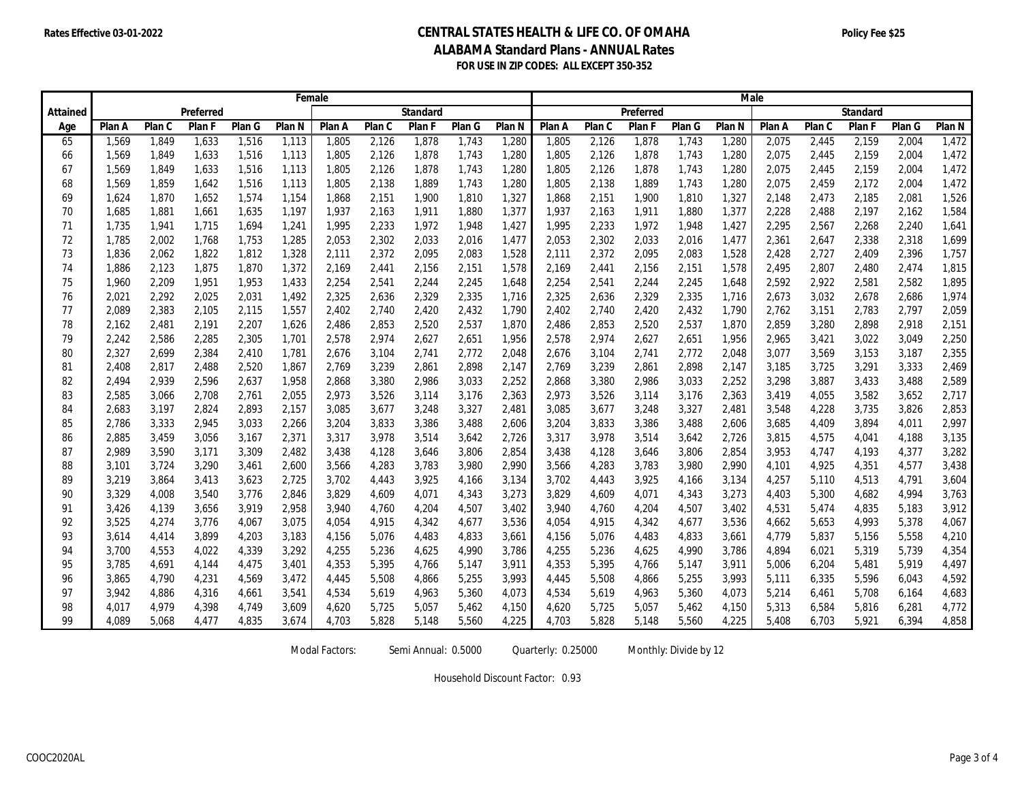## **Rates Effective 03-01-2022 Policy Fee \$25 CENTRAL STATES HEALTH & LIFE CO. OF OMAHA ALABAMA Standard Plans - ANNUAL Rates FOR USE IN ZIP CODES: ALL EXCEPT 350-352**

|          | Female    |        |        |        |                   |        |                 |        |        |        |        | Male   |           |        |        |                 |        |        |        |        |  |  |
|----------|-----------|--------|--------|--------|-------------------|--------|-----------------|--------|--------|--------|--------|--------|-----------|--------|--------|-----------------|--------|--------|--------|--------|--|--|
| Attained | Preferred |        |        |        |                   |        | <b>Standard</b> |        |        |        |        |        | Preferred |        |        | <b>Standard</b> |        |        |        |        |  |  |
| Age      | Plan A    | Plan C | Plan F | Plan G | Plan <sub>N</sub> | Plan A | Plan C          | Plan F | Plan G | Plan N | Plan A | Plan C | Plan F    | Plan G | Plan N | Plan A          | Plan C | Plan F | Plan G | Plan N |  |  |
| 65       | 1,569     | 1,849  | 1,633  | 1,516  | 1,113             | 1,805  | 2,126           | 1,878  | 1,743  | 1,280  | 1,805  | 2,126  | 1,878     | 1,743  | 1,280  | 2,075           | 2,445  | 2,159  | 2,004  | 1,472  |  |  |
| 66       | 1,569     | 1,849  | 1,633  | 1,516  | 1,113             | 1,805  | 2,126           | 1,878  | 1,743  | 1,280  | 1,805  | 2,126  | 1,878     | 1,743  | 1,280  | 2,075           | 2,445  | 2,159  | 2,004  | 1,472  |  |  |
| 67       | 1,569     | 1,849  | 1,633  | 1,516  | 1,113             | 1,805  | 2,126           | 1,878  | 1,743  | 1,280  | 1,805  | 2,126  | 1,878     | 1,743  | 1,280  | 2,075           | 2,445  | 2,159  | 2,004  | 1,472  |  |  |
| 68       | 1,569     | 1,859  | 1,642  | 1,516  | 1,113             | 1,805  | 2,138           | 1,889  | 1,743  | 1,280  | 1,805  | 2,138  | 1,889     | 1,743  | 1,280  | 2,075           | 2,459  | 2,172  | 2,004  | 1,472  |  |  |
| 69       | 1,624     | 1,870  | 1,652  | 1,574  | 1,154             | 1,868  | 2,151           | 1,900  | 1,810  | 1,327  | 1,868  | 2,151  | 1,900     | 1,810  | 1,327  | 2,148           | 2,473  | 2,185  | 2,081  | 1,526  |  |  |
| 70       | 1,685     | 1,881  | 1,661  | 1,635  | 1,197             | 1,937  | 2,163           | 1,911  | 1,880  | 1,377  | 1,937  | 2,163  | 1,911     | 1,880  | 1,377  | 2,228           | 2,488  | 2,197  | 2,162  | 1,584  |  |  |
| 71       | 1,735     | 1,941  | 1,715  | 1,694  | 1,241             | 1,995  | 2,233           | 1,972  | 1,948  | 1,427  | 1,995  | 2,233  | 1,972     | 1,948  | 1,427  | 2,295           | 2,567  | 2,268  | 2,240  | 1,641  |  |  |
| 72       | 1,785     | 2,002  | 1,768  | 1,753  | 1,285             | 2,053  | 2,302           | 2,033  | 2,016  | 1,477  | 2,053  | 2,302  | 2,033     | 2,016  | 1,477  | 2,361           | 2,647  | 2,338  | 2,318  | 1,699  |  |  |
| 73       | 1,836     | 2,062  | 1,822  | 1,812  | 1,328             | 2,111  | 2,372           | 2,095  | 2,083  | 1,528  | 2,111  | 2,372  | 2,095     | 2,083  | 1,528  | 2,428           | 2,727  | 2,409  | 2,396  | 1,757  |  |  |
| 74       | 1,886     | 2,123  | 1,875  | 1,870  | 1,372             | 2,169  | 2,441           | 2,156  | 2,151  | 1,578  | 2,169  | 2,441  | 2,156     | 2,151  | 1,578  | 2,495           | 2,807  | 2,480  | 2,474  | 1,815  |  |  |
| 75       | 1,960     | 2,209  | 1,951  | 1,953  | 1,433             | 2,254  | 2,541           | 2,244  | 2,245  | 1,648  | 2,254  | 2,541  | 2,244     | 2,245  | 1,648  | 2,592           | 2,922  | 2,581  | 2,582  | 1,895  |  |  |
| 76       | 2,021     | 2,292  | 2,025  | 2,031  | 1,492             | 2,325  | 2,636           | 2,329  | 2,335  | 1,716  | 2,325  | 2,636  | 2,329     | 2,335  | 1,716  | 2,673           | 3,032  | 2,678  | 2,686  | 1,974  |  |  |
| 77       | 2,089     | 2,383  | 2,105  | 2,115  | 1,557             | 2,402  | 2,740           | 2,420  | 2,432  | 1,790  | 2,402  | 2,740  | 2,420     | 2,432  | 1,790  | 2,762           | 3,151  | 2,783  | 2,797  | 2,059  |  |  |
| 78       | 2,162     | 2,481  | 2,191  | 2,207  | 1,626             | 2,486  | 2,853           | 2,520  | 2,537  | 1,870  | 2,486  | 2,853  | 2,520     | 2,537  | 1,870  | 2,859           | 3,280  | 2,898  | 2,918  | 2,151  |  |  |
| 79       | 2,242     | 2,586  | 2,285  | 2,305  | 1,701             | 2,578  | 2,974           | 2,627  | 2,651  | 1,956  | 2,578  | 2,974  | 2,627     | 2,651  | 1,956  | 2,965           | 3,421  | 3,022  | 3,049  | 2,250  |  |  |
| 80       | 2,327     | 2,699  | 2,384  | 2,410  | 1,781             | 2,676  | 3,104           | 2,741  | 2,772  | 2,048  | 2,676  | 3,104  | 2,741     | 2,772  | 2,048  | 3,077           | 3,569  | 3,153  | 3,187  | 2,355  |  |  |
| 81       | 2,408     | 2,817  | 2,488  | 2,520  | 1,867             | 2,769  | 3,239           | 2,861  | 2,898  | 2,147  | 2,769  | 3,239  | 2,861     | 2,898  | 2,147  | 3,185           | 3,725  | 3,291  | 3,333  | 2,469  |  |  |
| 82       | 2,494     | 2,939  | 2,596  | 2,637  | 1,958             | 2,868  | 3,380           | 2,986  | 3,033  | 2,252  | 2,868  | 3,380  | 2,986     | 3,033  | 2,252  | 3,298           | 3,887  | 3,433  | 3,488  | 2,589  |  |  |
| 83       | 2,585     | 3,066  | 2,708  | 2,761  | 2,055             | 2,973  | 3,526           | 3,114  | 3,176  | 2,363  | 2,973  | 3,526  | 3,114     | 3,176  | 2,363  | 3,419           | 4,055  | 3,582  | 3,652  | 2,717  |  |  |
| 84       | 2,683     | 3,197  | 2,824  | 2,893  | 2,157             | 3,085  | 3,677           | 3,248  | 3,327  | 2,481  | 3,085  | 3,677  | 3,248     | 3,327  | 2,481  | 3,548           | 4,228  | 3,735  | 3,826  | 2,853  |  |  |
| 85       | 2,786     | 3,333  | 2,945  | 3,033  | 2,266             | 3,204  | 3,833           | 3,386  | 3,488  | 2,606  | 3,204  | 3,833  | 3,386     | 3,488  | 2,606  | 3,685           | 4,409  | 3,894  | 4,011  | 2,997  |  |  |
| 86       | 2,885     | 3,459  | 3,056  | 3,167  | 2,371             | 3,317  | 3,978           | 3,514  | 3,642  | 2,726  | 3,317  | 3,978  | 3,514     | 3,642  | 2,726  | 3,815           | 4,575  | 4,041  | 4,188  | 3,135  |  |  |
| 87       | 2,989     | 3,590  | 3,171  | 3,309  | 2,482             | 3,438  | 4,128           | 3,646  | 3,806  | 2,854  | 3,438  | 4,128  | 3,646     | 3,806  | 2,854  | 3,953           | 4,747  | 4,193  | 4,377  | 3,282  |  |  |
| 88       | 3,101     | 3,724  | 3,290  | 3,461  | 2,600             | 3,566  | 4,283           | 3,783  | 3,980  | 2,990  | 3,566  | 4,283  | 3,783     | 3,980  | 2,990  | 4,101           | 4,925  | 4,351  | 4,577  | 3,438  |  |  |
| 89       | 3,219     | 3,864  | 3,413  | 3,623  | 2,725             | 3,702  | 4,443           | 3,925  | 4,166  | 3,134  | 3,702  | 4,443  | 3,925     | 4,166  | 3,134  | 4,257           | 5,110  | 4,513  | 4,791  | 3,604  |  |  |
| 90       | 3,329     | 4,008  | 3,540  | 3,776  | 2,846             | 3,829  | 4,609           | 4,071  | 4,343  | 3,273  | 3,829  | 4,609  | 4,071     | 4,343  | 3,273  | 4,403           | 5,300  | 4,682  | 4,994  | 3,763  |  |  |
| 91       | 3,426     | 4,139  | 3,656  | 3,919  | 2,958             | 3,940  | 4,760           | 4,204  | 4,507  | 3,402  | 3,940  | 4,760  | 4,204     | 4,507  | 3,402  | 4,531           | 5,474  | 4,835  | 5,183  | 3,912  |  |  |
| 92       | 3,525     | 4,274  | 3,776  | 4,067  | 3,075             | 4,054  | 4,915           | 4,342  | 4,677  | 3,536  | 4,054  | 4,915  | 4,342     | 4,677  | 3,536  | 4.662           | 5,653  | 4,993  | 5,378  | 4,067  |  |  |
| 93       | 3,614     | 4,414  | 3,899  | 4,203  | 3,183             | 4,156  | 5,076           | 4,483  | 4,833  | 3,661  | 4,156  | 5,076  | 4,483     | 4,833  | 3,661  | 4,779           | 5,837  | 5,156  | 5,558  | 4,210  |  |  |
| 94       | 3,700     | 4,553  | 4,022  | 4,339  | 3,292             | 4,255  | 5,236           | 4,625  | 4,990  | 3,786  | 4,255  | 5,236  | 4,625     | 4,990  | 3,786  | 4,894           | 6,021  | 5,319  | 5,739  | 4,354  |  |  |
| 95       | 3,785     | 4,691  | 4,144  | 4,475  | 3,401             | 4,353  | 5,395           | 4,766  | 5,147  | 3,911  | 4,353  | 5,395  | 4,766     | 5,147  | 3,911  | 5,006           | 6,204  | 5,481  | 5,919  | 4,497  |  |  |
| 96       | 3,865     | 4,790  | 4,231  | 4,569  | 3,472             | 4,445  | 5,508           | 4,866  | 5,255  | 3,993  | 4,445  | 5,508  | 4,866     | 5,255  | 3,993  | 5,111           | 6,335  | 5,596  | 6,043  | 4,592  |  |  |
| 97       | 3,942     | 4,886  | 4,316  | 4,661  | 3,541             | 4,534  | 5,619           | 4,963  | 5,360  | 4,073  | 4,534  | 5,619  | 4,963     | 5,360  | 4,073  | 5,214           | 6,461  | 5,708  | 6,164  | 4,683  |  |  |
| 98       | 4,017     | 4,979  | 4,398  | 4,749  | 3,609             | 4,620  | 5,725           | 5,057  | 5,462  | 4,150  | 4,620  | 5,725  | 5,057     | 5,462  | 4,150  | 5,313           | 6,584  | 5,816  | 6,281  | 4,772  |  |  |
| 99       | 4.089     | 5,068  | 4,477  | 4,835  | 3,674             | 4,703  | 5,828           | 5,148  | 5,560  | 4,225  | 4,703  | 5,828  | 5,148     | 5,560  | 4,225  | 5,408           | 6,703  | 5,921  | 6,394  | 4,858  |  |  |

Modal Factors: Semi Annual: 0.5000 Quarterly: 0.25000 Monthly: Divide by 12

Household Discount Factor: 0.93